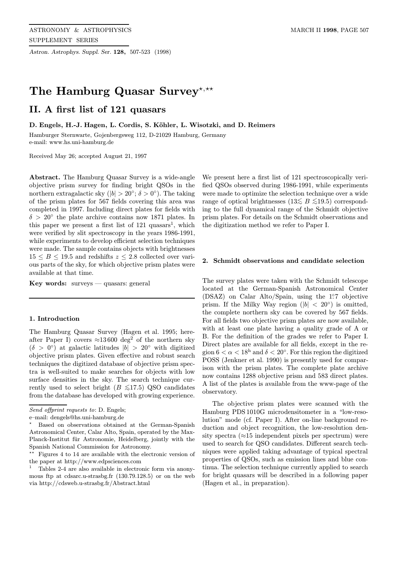Astron. Astrophys. Suppl. Ser. 128, 507-523 (1998)

# The Hamburg Quasar Survey\*,\*\*

# II. A first list of 121 quasars

D. Engels, H.-J. Hagen, L. Cordis, S. Köhler, L. Wisotzki, and D. Reimers

Hamburger Sternwarte, Gojenbergsweg 112, D-21029 Hamburg, Germany e-mail: www.hs.uni-hamburg.de

Received May 26; accepted August 21, 1997

Abstract. The Hamburg Quasar Survey is a wide-angle objective prism survey for finding bright QSOs in the northern extragalactic sky  $(|b| > 20°; \delta > 0°)$ . The taking of the prism plates for 567 fields covering this area was completed in 1997. Including direct plates for fields with  $\delta > 20^{\circ}$  the plate archive contains now 1871 plates. In this paper we present a first list of  $121$  quasars<sup>1</sup>, which were verified by slit spectroscopy in the years 1986-1991, while experiments to develop efficient selection techniques were made. The sample contains objects with brightnesses  $15 \leq B \leq 19.5$  and redshifts  $z \leq 2.8$  collected over various parts of the sky, for which objective prism plates were available at that time.

**Key words:** surveys  $-$  quasars: general

## 1. Introduction

The Hamburg Quasar Survey (Hagen et al. 1995; hereafter Paper I) covers  $\approx 13600 \text{ deg}^2$  of the northern sky  $(\delta > 0^{\circ})$  at galactic latitudes  $|b| > 20^{\circ}$  with digitized objective prism plates. Given effective and robust search techniques the digitized database of objective prism spectra is well-suited to make searches for objects with low surface densities in the sky. The search technique currently used to select bright ( $B \le 17.5$ ) QSO candidates from the database has developed with growing experience.

We present here a first list of 121 spectroscopically verified QSOs observed during 1986-1991, while experiments were made to optimize the selection technique over a wide range of optical brightnesses ( $13\leq B \leq 19.5$ ) corresponding to the full dynamical range of the Schmidt objective prism plates. For details on the Schmidt observations and the digitization method we refer to Paper I.

## 2. Schmidt observations and candidate selection

The survey plates were taken with the Schmidt telescope located at the German-Spanish Astronomical Center (DSAZ) on Calar Alto/Spain, using the 1?7 objective prism. If the Milky Way region ( $|b| < 20°$ ) is omitted, the complete northern sky can be covered by 567 fields. For all fields two objective prism plates are now available, with at least one plate having a quality grade of A or B. For the definition of the grades we refer to Paper I. Direct plates are available for all fields, except in the region  $6 < \alpha < 18^{\circ}$  and  $\delta < 20^{\circ}$ . For this region the digitized POSS (Jenkner et al. 1990) is presently used for comparison with the prism plates. The complete plate archive now contains 1288 objective prism and 583 direct plates. A list of the plates is available from the www-page of the observatory.

The objective prism plates were scanned with the Hamburg PDS 1010G microdensitometer in a "low-resolution" mode (cf. Paper I). After on-line background reduction and object recognition, the low-resolution density spectra ( $\approx$ 15 independent pixels per spectrum) were used to search for QSO candidates. Different search techniques were applied taking advantage of typical spectral properties of QSOs, such as emission lines and blue continua. The selection technique currently applied to search for bright quasars will be described in a following paper (Hagen et al., in preparation).

Send offprint requests to: D. Engels;

e–mail: dengels@hs.uni-hamburg.de

<sup>?</sup> Based on observations obtained at the German-Spanish Astronomical Center, Calar Alto, Spain, operated by the Max-Planck-Institut für Astronomie, Heidelberg, jointly with the Spanish National Commission for Astronomy.

Figures 4 to 14 are available with the electronic version of the paper at http://www.edpsciences.com

<sup>1</sup> Tables 2-4 are also available in electronic form via anonymous ftp at cdsarc.u-strasbg.fr (130.79.128.5) or on the web via http://cdsweb.u-strasbg.fr/Abstract.html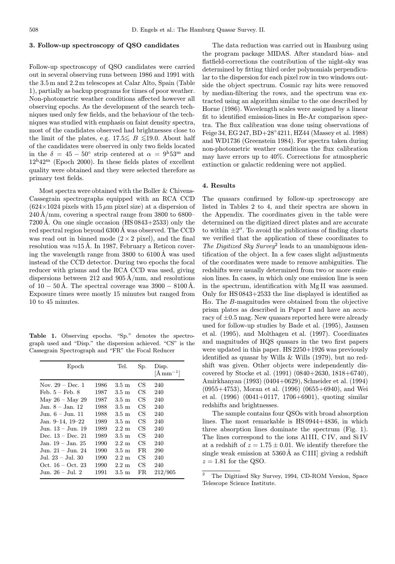## 3. Follow-up spectroscopy of QSO candidates

Follow-up spectroscopy of QSO candidates were carried out in several observing runs between 1986 and 1991 with the 3.5 m and 2.2 m telescopes at Calar Alto, Spain (Table 1), partially as backup programs for times of poor weather. Non-photometric weather conditions affected however all observing epochs. As the development of the search techniques used only few fields, and the behaviour of the techniques was studied with emphasis on faint density spectra, most of the candidates observed had brightnesses close to the limit of the plates, e.g. 17.5  $\lesssim$  B  $\lesssim$ 19.0. About half of the candidates were observed in only two fields located in the  $\delta = 45 - 50^{\circ}$  strip centered at  $\alpha = 9^{\rm h}53^{\rm m}$  and  $12^{\text{h}}42^{\text{m}}$  (Epoch 2000). In these fields plates of excellent quality were obtained and they were selected therefore as primary test fields.

Most spectra were obtained with the Boller & Chivens-Cassegrain spectrographs equipped with an RCA CCD  $(624\times1024$  pixels with 15  $\mu$ m pixel size) at a dispersion of  $240 \text{\AA}/\text{mm}$ , covering a spectral range from 3800 to 6800– 7200Å. On one single occasion  $(HS 0843+2533)$  only the red spectral region beyond 6300 Å was observed. The CCD was read out in binned mode  $(2 \times 2$  pixel), and the final resolution was  $\approx$ 15 Å. In 1987, February a Reticon covering the wavelength range from  $3800$  to  $6100\text{\AA}$  was used instead of the CCD detector. During two epochs the focal reducer with grisms and the RCA CCD was used, giving dispersions between 212 and 905 Å/mm, and resolutions of  $10 - 50 \text{ Å}$ . The spectral coverage was  $3900 - 8100 \text{ Å}$ . Exposure times were mostly 15 minutes but ranged from 10 to 45 minutes.

Table 1. Observing epochs. "Sp." denotes the spectrograph used and "Disp." the dispersion achieved. "CS" is the Cassegrain Spectrograph and "FR" the Focal Reducer

| Epoch                 |      | Tel.             | Sp. | Disp.<br>$[\text{\AA}\,\text{mm}^{-1}]$ |
|-----------------------|------|------------------|-----|-----------------------------------------|
| Nov. $29 - Dec.1$     | 1986 | $3.5 \text{ m}$  | CS  | 240                                     |
| Feb. $5 -$ Feb. $8$   | 1987 | $3.5 \text{ m}$  | CS  | 240                                     |
| May $26 -$ May 29     | 1987 | $3.5 \text{ m}$  | CS  | 240                                     |
| Jan. 8 – Jan. 12      | 1988 | $3.5 \text{ m}$  | CS  | 240                                     |
| Jun. 6 – Jun. 11      | 1988 | $3.5 \text{ m}$  | CS  | 240                                     |
| Jan. $9-14$ , $19-22$ | 1989 | $3.5 \text{ m}$  | CS  | 240                                     |
| Jun. 13 – Jun. 19     | 1989 | $2.2~\mathrm{m}$ | CS  | 240                                     |
| Dec. $13 - Dec. 21$   | 1989 | $3.5 \text{ m}$  | CS  | 240                                     |
| Jan. 19 – Jan. 25     | 1990 | $2.2~\mathrm{m}$ | CS  | 240                                     |
| Jun. 21 – Jun. 24     | 1990 | $3.5 \text{ m}$  | FR. | 290                                     |
| Jul. 23 – Jul. 30     | 1990 | $2.2~\mathrm{m}$ | CS  | 240                                     |
| Oct. $16 - Oct. 23$   | 1990 | $2.2~\mathrm{m}$ | CS  | 240                                     |
| Jun. 26 – Jul. 2      | 1991 | 3.5 m            | FR. | 212/905                                 |

The data reduction was carried out in Hamburg using the program package MIDAS. After standard bias- and flatfield-corrections the contribution of the night-sky was determined by fitting third order polynomials perpendicular to the dispersion for each pixel row in two windows outside the object spectrum. Cosmic ray hits were removed by median-filtering the rows, and the spectrum was extracted using an algorithm similar to the one described by Horne (1986). Wavelength scales were assigned by a linear fit to identified emission-lines in He-Ar comparison spectra. The flux calibration was done using observations of Feige 34, EG 247, BD+28◦4211, HZ44 (Massey et al. 1988) and WD1736 (Greenstein 1984). For spectra taken during non-photometric weather conditions the flux calibration may have errors up to 40%. Corrections for atmospheric extinction or galactic reddening were not applied.

#### 4. Results

The quasars confirmed by follow-up spectroscopy are listed in Tables 2 to 4, and their spectra are shown in the Appendix. The coordinates given in the table were determined on the digitized direct plates and are accurate to within  $\pm 2^{\prime\prime}$ . To avoid the publications of finding charts we verified that the application of these coordinates to The Digitized Sky Survey<sup>2</sup> leads to an unambiguous identification of the object. In a few cases slight adjustments of the coordinates were made to remove ambiguities. The redshifts were usually determined from two or more emission lines. In cases, in which only one emission line is seen in the spectrum, identification with Mg II was assumed. Only for HS 0843+2533 the line displayed is identified as H $\alpha$ . The B-magnitudes were obtained from the objective prism plates as described in Paper I and have an accuracy of  $\pm 0.5$  mag. New quasars reported here were already used for follow-up studies by Bade et al. (1995), Jaunsen et al. (1995), and Molthagen et al. (1997). Coordinates and magnitudes of HQS quasars in the two first papers were updated in this paper. HS 2250+1926 was previously identified as quasar by Wills & Wills (1979), but no redshift was given. Other objects were independently discovered by Stocke et al. (1991) (0840+2630, 1818+6740), Amirkhanyan (1993) (0404+0629), Schneider et al. (1994) (0955+4753), Moran et al. (1996) (0655+6940), and Wei et al. (1996) (0041+0117, 1706+6901), quoting similar redshifts and brightnesses.

The sample contains four QSOs with broad absorption lines. The most remarkable is HS 0944+4836, in which three absorption lines dominate the spectrum (Fig. 1). The lines correspond to the ions Al III, C IV, and Si IV at a redshift of  $z = 1.75 \pm 0.01$ . We identify therefore the single weak emission at  $5360\text{\AA}$  as CIII] giving a redshift  $z = 1.81$  for the QSO.

<sup>2</sup> The Digitized Sky Survey, 1994, CD-ROM Version, Space Telescope Science Institute.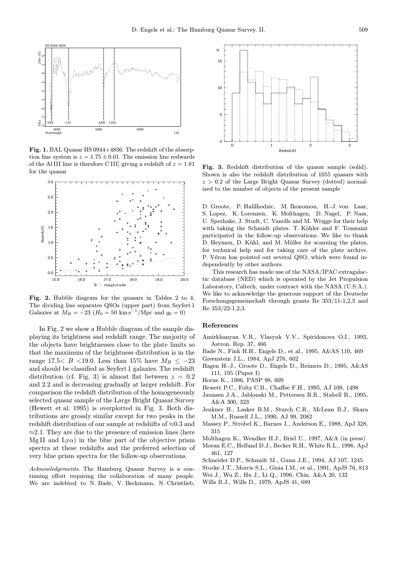

Fig. 1. BAL Quasar HS 0944+4836. The redshift of the absorption line system is  $z = 1.75 \pm 0.01$ . The emission line redwards of the Al III line is therefore C III] giving a redshift of  $z = 1.81$ for the quasar



Fig. 2. Hubble diagram for the quasars in Tables 2 to 4. The dividing line separates QSOs (upper part) from Seyfert 1 Galaxies at  $M_B = -23$  ( $H_0 = 50$  km s<sup>-1</sup>/Mpc and  $q_0 = 0$ )

In Fig. 2 we show a Hubble diagram of the sample displaying its brightness and redshift range. The majority of the objects have brightnesses close to the plate limits so that the maximum of the brightness distribution is in the range 17.5< B <19.0. Less than 15% have  $M_B \leq -23$ and should be classified as Seyfert 1 galaxies. The redshift distribution (cf. Fig. 3) is almost flat between  $z = 0.2$ and 2.2 and is decreasing gradually at larger redshift. For comparison the redshift distribution of the homogeneously selected quasar sample of the Large Bright Quasar Survey (Hewett et al. 1995) is overplotted in Fig. 3. Both distributions are grossly similar except for two peaks in the redshift distribution of our sample at redshifts of ≈0.3 and  $\approx$ 2.1. They are due to the presence of emission lines (here Mg II and Ly $\alpha$ ) in the blue part of the objective prism spectra at these redshifts and the preferred selection of very blue prism spectra for the follow-up observations.

Acknowledgements. The Hamburg Quasar Survey is a continuing effort requiring the collaboration of many people. We are indebted to N. Bade, V. Beckmann, N. Christlieb,



Fig. 3. Redshift distribution of the quasar sample (solid). Shown is also the redshift distribution of 1055 quasars with  $z > 0.2$  of the Large Bright Quasar Survey (dotted) normalized to the number of objects of the present sample

D. Groote, P. Halilhodzic, M. Ikonomou, H.-J. von Laar, S. Lopez, K. Lorenzen, K. Molthagen, D. Nagel, P. Nass, U. Sperhake, J. Studt, C. Vanelle and M. Wrigge for their help with taking the Schmidt plates. T. Köhler and F. Toussaint participated in the follow-up observations. We like to thank D. Heymen, D. Kühl, and M. Müller for scanning the plates, for technical help and for taking care of the plate archive. P. Véron has pointed out several QSO, which were found independently by other authors.

This research has made use of the NASA/IPAC extragalactic database (NED) which is operated by the Jet Propulsion Laboratory, Caltech, under contract with the NASA (U.S.A.). We like to acknowledge the generous support of the Deutsche Forschungsgemeinschaft through grants Re 353/11-1,2,3 and Re 353/22-1,2,3.

## References

- Amirkhanyan V.R., Vlasyuk V.V., Spiridonova O.I., 1993, Astron. Rep. 37, 466
- Bade N., Fink H.H., Engels D., et al., 1995, A&AS 110, 469
- Greenstein J.L., 1984, ApJ 276, 602
- Hagen H.-J., Groote D., Engels D., Reimers D., 1995, A&AS 111, 195 (Paper I)
- Horne K., 1986, PASP 98, 609
- Hewett P.C., Foltz C.B., Chaffee F.H., 1995, AJ 109, 1498
- Jaunsen J.A., Jablonski M., Pettersen B.R., Stabell R., 1995, A&A 300, 323
- Jenkner H., Lasker B.M., Sturch C.R., McLean B.J., Shara M.M., Russell J.L., 1990, AJ 99, 2082
- Massey P., Strobel K., Barnes J., Anderson E., 1988, ApJ 328, 315
- Molthagen K., Wendker H.J., Briel U., 1997, A&A (in press)
- Moran E.C., Helfand D.J., Becker R.H., White R.L., 1996, ApJ 461, 127
- Schneider D.P., Schmidt M., Gunn J.E., 1994, AJ 107, 1245
- Stocke J.T., Morris S.L., Gioia I.M., et al., 1991, ApJS 76, 813
- Wei J., Wu Z., Hu J., Li Q., 1996, Chin. A&A 20, 132
- Wills B.J., Wills D., 1979, ApJS 41, 689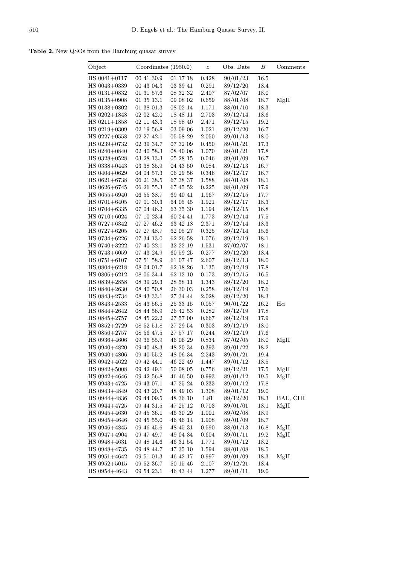Table 2. New QSOs from the Hamburg quasar survey

| Object                           | Coordinates $(1950.0)$   |                      | $\boldsymbol{z}$ | Obs. Date            | В            | Comments  |
|----------------------------------|--------------------------|----------------------|------------------|----------------------|--------------|-----------|
| $HS 0041 + 0117$                 | 00 41 30.9               | 01 17 18             | 0.428            | 90/01/23             | 16.5         |           |
| HS 0043+0339                     | 00 43 04.3               | 03 39 41             | 0.291            | 89/12/20             | 18.4         |           |
| $HS 0131 + 0832$                 | 01 31 57.6               | 08 32 32             | 2.407            | 87/02/07             | 18.0         |           |
| $HS$ 0135+0908                   | 01 35 13.1               | 09 08 02             | 0.659            | 88/01/08             | 18.7         | MgII      |
| $HS$ 0138+0802                   | $01\ 38\ 01.3$           | 08 02 14             | 1.171            | 88/01/10             | 18.3         |           |
| $HS$ 0202+1848                   | 02 02 42.0               | 18 48 11             | 2.703            | 89/12/14             | 18.6         |           |
| $HS 0211 + 1858$                 | 02 11 43.3               | 18 58 40             | 2.471            | 89/12/15             | 19.2         |           |
| HS 0219+0309                     | $02$ 19 56.8             | 03 09 06             | 1.021            | 89/12/20             | 16.7         |           |
| $HS$ 0227+0558                   | 02 27 42.1               | 05 58 29             | 2.050            | 89/01/13             | 18.0         |           |
| $HS 0239 + 0732$                 | 02 39 34.7               | 07 32 09             | 0.450            | 89/01/21             | 17.3         |           |
| $HS 0240 + 0840$                 | 02 40 58.3               | 08 40 06             | 1.070            | 89/01/21             | 17.8         |           |
| $HS$ 0328+0528                   | $03\ 28\ 13.3$           | 05 28 15             | 0.046            | 89/01/09             | 16.7         |           |
| HS 0338+0443                     | 03 38 35.9               | 04 43 50             | 0.084            | 89/12/13             | 16.7         |           |
| HS 0404+0629                     | 04 04 57.3               | 06 29 56             | 0.346            | 89/12/17             | 16.7         |           |
| $HS 0621 + 6738$                 | 06 21 38.5               | 67 38 37             | 1.588            | 88/01/08             | 18.1         |           |
| $HS 0626 + 6745$                 | 06 26 55.3               | 67 45 52             | 0.225            | 88/01/09             | 17.9         |           |
| HS 0655+6940                     | 06 55 38.7               | 69 40 41             | 1.967            | 89/12/15             | 17.7         |           |
| $HS 0701 + 6405$                 | 07 01 30.3               | 64 05 45             | 1.921            | 89/12/17             | 18.3         |           |
| $HS 0704 + 6335$                 | 07 04 46.2               | 63 35 30             | 1.194            | 89/12/15             | 16.8         |           |
| HS 0710+6024                     | 07 10 23.4               | 60 24 41             | 1.773            | 89/12/14             | 17.5         |           |
| $HS 0727 + 6342$                 | 07 27 46.2               | 63 42 18             | 2.371            | 89/12/14             | 18.3         |           |
| $HS 0727 + 6205$                 | 07 27 48.7               | 62 05 27             | 0.325            | 89/12/14             | 15.6         |           |
| $HS 0734 + 6226$                 | 07 34 13.0               | 62 26 58             | 1.076            | 89/12/19             | 18.1         |           |
| $HS 0740 + 3222$                 | 07 40 22.1               | 32 22 19             | 1.531            | 87/02/07             | 18.1         |           |
| $HS 0743 + 6059$                 | 07 43 24.9               | 60 59 25             | 0.277            | 89/12/20             | 18.4         |           |
| $HS 0751 + 6107$                 | 07 51 58.9               | 61 07 47             | 2.607            | 89/12/13             | 18.0         |           |
| $HS 0804 + 6218$                 | 08 04 01.7               | 62 18 26             | 1.135            | 89/12/19             | 17.8         |           |
| HS 0806+6212                     | 08 06 34.4               | 62 12 10             | 0.173            | 89/12/15             | 16.5         |           |
| $HS$ 0839+2858                   | 08 39 29.3               | 28 58 11             | 1.343            | 89/12/20             | 18.2         |           |
| $HS 0840 + 2630$                 | 08 40 50.8               | 26 30 03             | 0.258            | 89/12/19             | 17.6         |           |
| $HS 0843 + 2734$                 | 08 43 33.1<br>08 43 56.5 | 27 34 44             | 2.028            | 89/12/20             | 18.3         | $H\alpha$ |
| $HS 0843 + 2533$<br>HS 0844+2642 | 08 44 56.9               | 25 33 15<br>26 42 53 | 0.057<br>0.282   | 90/01/22<br>89/12/19 | 16.2<br>17.8 |           |
| $HS 0845 + 2757$                 | 08 45 22.2               | 27 57 00             | 0.667            | 89/12/19             | 17.9         |           |
| $HS 0852 + 2729$                 | 08 52 51.8               | 27 29 54             | 0.303            | 89/12/19             | 18.0         |           |
| $HS$ 0856+2757                   | 08 56 47.5               | 27 57 17             | 0.244            | 89/12/19             | 17.6         |           |
| HS 0936+4606                     | 09 36 55.9               | 46 06 29             | 0.834            | 87/02/05             | 18.0         | MgII      |
| $HS 0940 + 4820$                 | 09 40 48.3               | 48 20 34             | 0.393            | 89/01/22             | 18.2         |           |
| HS 0940+4806                     | 09 40 55.2               | 48 06 34             | 2.243            | 89/01/21             | 19.4         |           |
| HS 0942+4622                     | 09 42 44.1               | 46 22 49             | 1.447            | 89/01/12             | 18.5         |           |
| $HS 0942 + 5008$                 | 09 42 49.1               | 50 08 05             | 0.756            | 89/12/21             | 17.5         | MgII      |
| $HS 0942 + 4646$                 | 09 42 56.8               | 46 46 50             | 0.993            | 89/01/12             | 19.5         | MgII      |
| HS 0943+4725                     | 09 43 07.1               | 47 25 24             | 0.233            | 89/01/12             | 17.8         |           |
| HS 0943+4849                     | 09 43 20.7               | 48 49 03             | 1.308            | 89/01/12             | 19.0         |           |
| HS 0944+4836                     | 09 44 09.5               | 48 36 10             | 1.81             | 89/12/20             | 18.3         | BAL, CIII |
| HS 0944+4725                     | 09 44 31.5               | 47 25 12             | 0.703            | 89/01/01             | 18.1         | MgII      |
| $HS 0945 + 4630$                 | 09 45 36.1               | 46 30 29             | 1.001            | 89/02/08             | 18.9         |           |
| HS 0945+4646                     | 09 45 55.0               | 46 46 14             | 1.908            | 89/01/09             | 18.7         |           |
| HS 0946+4845                     | 09 46 45.6               | 48 45 31             | 0.590            | 88/01/13             | 16.8         | MgII      |
| HS 0947+4904                     | 09 47 49.7               | 49 04 34             | 0.604            | 89/01/11             | 19.2         | MgII      |
| HS 0948+4631                     | 09 48 14.6               | 46 31 54             | 1.771            | 89/01/12             | 18.2         |           |
| HS 0948+4735                     | 09 48 44.7               | 47 35 10             | 1.594            | 88/01/08             | 18.5         |           |
| HS 0951+4642                     | 09 51 01.3               | 46 42 17             | 0.997            | 89/01/09             | 18.3         | MgII      |
| $HS 0952 + 5015$                 | 09 52 36.7               | 50 15 46             | 2.107            | 89/12/21             | 18.4         |           |
| HS 0954+4643                     | 09 54 23.1               | 46 43 44             | 1.277            | 89/01/11             | 19.0         |           |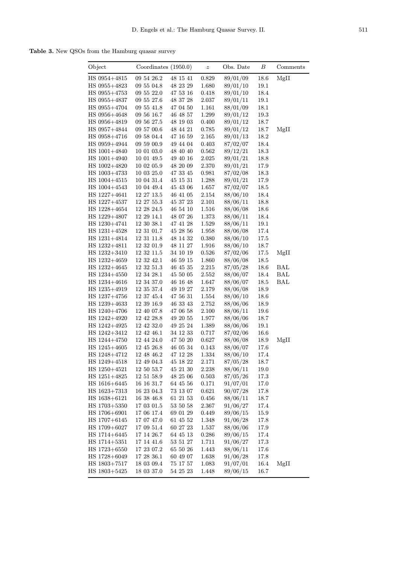Table 3. New QSOs from the Hamburg quasar survey

| Object         | Coordinates $(1950.0)$ |              | $\boldsymbol{z}$ | Obs. Date | В    | Comments |
|----------------|------------------------|--------------|------------------|-----------|------|----------|
| HS 0954+4815   | 09 54 26.2             | 48 15 41     | 0.829            | 89/01/09  | 18.6 | MgII     |
| HS 0955+4823   | 09 55 04.8             | 48 23 29     | 1.680            | 89/01/10  | 19.1 |          |
| $HS$ 0955+4753 | 09 55 22.0             | 47 53 16     | 0.418            | 89/01/10  | 18.4 |          |
| HS 0955+4837   | 09 55 27.6             | 48 37 28     | 2.037            | 89/01/11  | 19.1 |          |
| HS 0955+4704   | 09 55 41.8             | 47 04 50     | 1.161            | 88/01/09  | 18.1 |          |
| HS 0956+4648   | 09 56 16.7             | 46 48 57     | 1.299            | 89/01/12  | 19.3 |          |
| HS 0956+4819   | 09 56 27.5             | 48 19 03     | 0.400            | 89/01/12  | 18.7 |          |
| HS 0957+4844   | 09 57 00.6             | 48 44 21     | 0.785            | 89/01/12  | 18.7 | MgII     |
| HS 0958+4716   | 09 58 04.4             | 47 16 59     | 2.165            | 89/01/13  | 18.2 |          |
| HS 0959+4944   | 09 59 00.9             | 49 44 04     | 0.403            | 87/02/07  | 18.4 |          |
| HS 1001+4840   | 10 01 03.0             | 48 40 40     | 0.562            | 89/12/21  | 18.3 |          |
| HS 1001+4940   | 10 01 49.5             | 49 40 16     | 2.025            | 89/01/21  | 18.8 |          |
| HS 1002+4820   | 10 02 05.9             | 48 20 09     | 2.370            | 89/01/21  | 17.9 |          |
| HS 1003+4733   | 10 03 25.0             | $47\ 33\ 45$ | 0.981            | 87/02/08  | 18.3 |          |
| HS $1004+4515$ | 10 04 31.4             | 45 15 31     | 1.288            | 89/01/21  | 17.9 |          |
| HS $1004+4543$ | 10 04 49.4             | 45 43 06     | 1.657            | 87/02/07  | 18.5 |          |
| HS 1227+4641   | 12 27 13.5             | 46 41 05     | 2.154            | 88/06/10  | 18.4 |          |
| HS 1227+4537   | 12 27 55.3             | 45 37 23     | 2.101            | 88/06/11  | 18.8 |          |
| HS 1228+4654   | 12 28 24.5             | 46 54 10     | 1.516            | 88/06/08  | 18.6 |          |
| HS 1229+4807   | 12 29 14.1             | 48 07 26     | 1.373            | 88/06/11  | 18.4 |          |
| HS 1230+4741   | 12 30 38.1             | 47 41 28     | 1.529            | 88/06/11  | 19.1 |          |
| HS 1231+4528   | 12 31 01.7             | $45\ 28\ 56$ | 1.958            | 88/06/08  | 17.4 |          |
| HS 1231+4814   | 12 31 11.8             | 48 14 32     | 0.380            | 88/06/10  | 17.5 |          |
| HS 1232+4811   | 123201.9               | 48 11 27     | 1.916            | 88/06/10  | 18.7 |          |
| HS 1232+3410   | 12 32 11.5             | 34 10 19     | 0.526            | 87/02/06  | 17.5 | MgII     |
| HS 1232+4659   | 12 32 42.1             | 46 59 15     | 1.860            | 88/06/08  | 18.5 |          |
| HS 1232+4645   | 12 32 51.3             | 46 45 35     | 2.215            | 87/05/28  | 18.6 | BAL      |
| HS 1234+4550   | 12 34 28.1             | 45 50 05     | 2.552            | 88/06/07  | 18.4 | BAL      |
| HS 1234+4616   | $12\ 34\ 37.0$         | 46 16 48     | 1.647            | 88/06/07  | 18.5 | BAL      |
| HS 1235+4919   | 12 35 37.4             | 49 19 27     | 2.179            | 88/06/08  | 18.9 |          |
| HS 1237+4756   | 12 37 45.4             | 47 56 31     | $1.554\,$        | 88/06/10  | 18.6 |          |
| HS 1239+4633   | 12 39 16.9             | 46 33 43     | $2.752\,$        | 88/06/06  | 18.9 |          |
| HS 1240+4706   | 12 40 07.8             | 47 06 58     | 2.100            | 88/06/11  | 19.6 |          |
| HS 1242+4920   | 12 42 28.8             | 49 20 55     | 1.977            | 88/06/06  | 18.7 |          |
| HS 1242+4925   | 12 42 32.0             | 49 25 24     | 1.389            | 88/06/06  | 19.1 |          |
| HS 1242+3412   | $12\ 42\ 46.1$         | 34 12 33     | 0.717            | 87/02/06  | 16.6 |          |
| HS 1244+4750   | 12 44 24.0             | 47 50 20     | 0.627            | 88/06/08  | 18.9 | MgII     |
| $HS$ 1245+4605 | 12 45 26.8             | 46 05 34     | 0.143            | 88/06/07  | 17.6 |          |
| HS $1248+4712$ | 12 48 46.2             | 47 12 28     | 1.334            | 88/06/10  | 17.4 |          |
| $HS$ 1249+4518 | 12 49 04.3             | 45 18 22     | 2.171            | 87/05/28  | 18.7 |          |
| HS 1250+4521   | 12 50 53.7             | 45 21 30     | 2.238            | 88/06/11  | 19.0 |          |
| HS 1251+4825   | 12 51 58.9             | 48 25 06     | 0.503            | 87/05/26  | 17.3 |          |
| HS 1616+6445   | 16 16 31.7             | $64\ 45\ 56$ | 0.171            | 91/07/01  | 17.0 |          |
| HS 1623+7313   | 16 23 04.3             | 73 13 07     | 0.621            | 90/07/28  | 17.8 |          |
| HS 1638+6121   | 16 38 46.8             | 61 21 53     | 0.456            | 88/06/11  | 18.7 |          |
| $HS$ 1703+5350 | 17 03 01.5             | 53 50 58     | 2.367            | 91/06/27  | 17.4 |          |
| HS 1706+6901   | 17 06 17.4             | 69 01 29     | 0.449            | 89/06/15  | 15.9 |          |
| HS 1707+6145   | 17 07 47.0             | 61 45 52     | 1.348            | 91/06/28  | 17.8 |          |
| $HS$ 1709+6027 | 17 09 51.4             | 60 27 23     | 1.537            | 88/06/06  | 17.9 |          |
| HS 1714+6445   | 17 14 26.7             | 64 45 13     | 0.286            | 89/06/15  | 17.4 |          |
| $HS$ 1714+5351 | 17 14 41.6             | 53 51 27     | 1.711            | 91/06/27  | 17.3 |          |
| HS 1723+6550   | 17 23 07.2             | 65 50 26     | 1.443            | 88/06/11  | 17.6 |          |
| HS 1728+6049   | 17 28 36.1             | 60 49 07     | 1.638            | 91/06/28  | 17.8 |          |
| HS $1803+7517$ | 18 03 09.4             | 75 17 57     | 1.083            | 91/07/01  | 16.4 | MgII     |
| $HS$ 1803+5425 | 18 03 37.0             | 54 25 23     | 1.448            | 89/06/15  | 16.7 |          |
|                |                        |              |                  |           |      |          |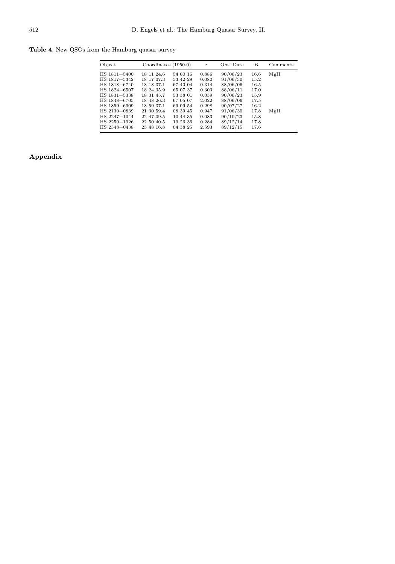Table 4. New QSOs from the Hamburg quasar survey

| Object         | Coordinates $(1950.0)$ |          | $\boldsymbol{z}$ | Obs. Date | B    | Comments |
|----------------|------------------------|----------|------------------|-----------|------|----------|
| HS $1811+5400$ | 18 11 24.6             | 54 00 16 | 0.886            | 90/06/23  | 16.6 | MgII     |
| HS 1817+5342   | 18 17 07.3             | 53 42 29 | 0.080            | 91/06/30  | 15.2 |          |
| HS 1818+6740   | 18 18 37.1             | 67 40 04 | 0.314            | 88/06/06  | 16.5 |          |
| HS 1824+6507   | 18 24 35.9             | 65 07 37 | 0.303            | 88/06/11  | 17.0 |          |
| HS $1831+5338$ | 18 31 45.7             | 53 38 01 | 0.039            | 90/06/23  | 15.9 |          |
| HS $1848+6705$ | 18 48 26.3             | 67 05 07 | 2.022            | 88/06/06  | 17.5 |          |
| HS 1859+6909   | 18 59 37.1             | 69 09 54 | 0.298            | 90/07/27  | 16.2 |          |
| HS 2130+0839   | 21 30 59.4             | 08 39 45 | 0.947            | 91/06/30  | 17.8 | MgII     |
| HS 2247+1044   | 22 47 09.5             | 10 44 35 | 0.083            | 90/10/23  | 15.8 |          |
| HS 2250+1926   | 22 50 40.5             | 19 26 36 | 0.284            | 89/12/14  | 17.8 |          |
| HS 2348+0438   | 23 48 16.8             | 04 38 25 | 2.593            | 89/12/15  | 17.6 |          |

# Appendix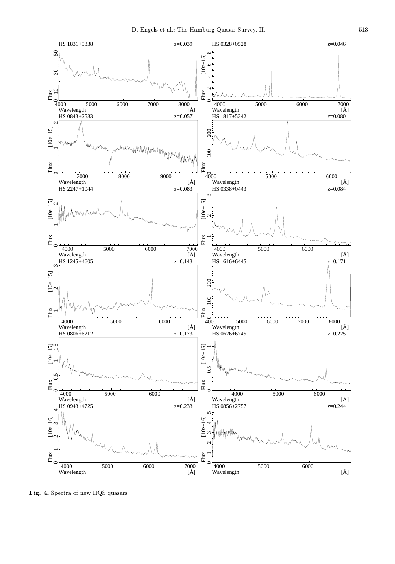

Fig. 4. Spectra of new HQS quasars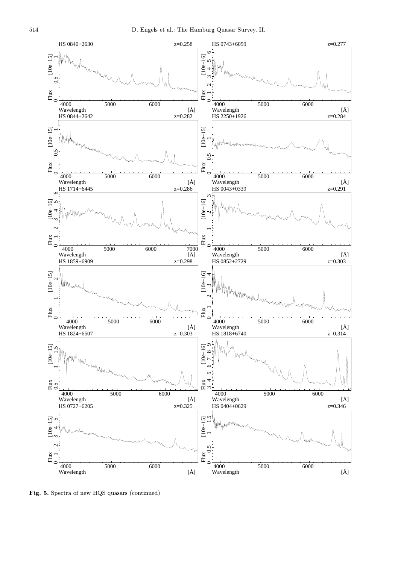

Fig. 5. Spectra of new HQS quasars (continued)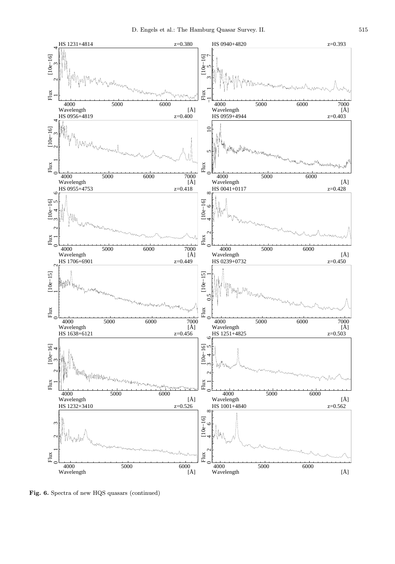

Fig. 6. Spectra of new HQS quasars (continued)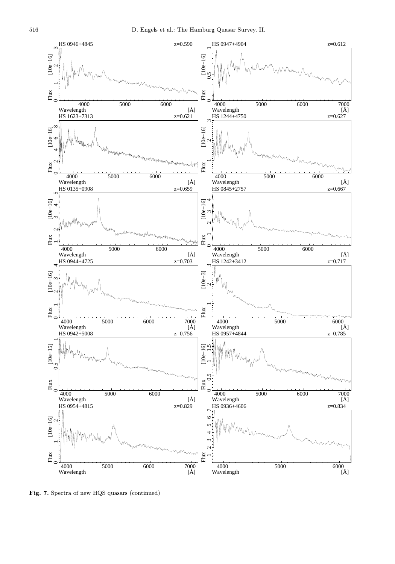

Fig. 7. Spectra of new HQS quasars (continued)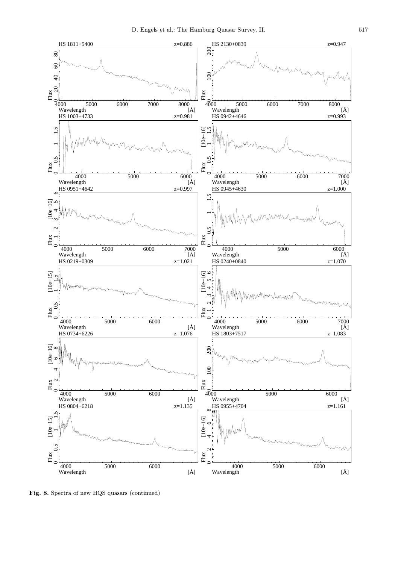

Fig. 8. Spectra of new HQS quasars (continued)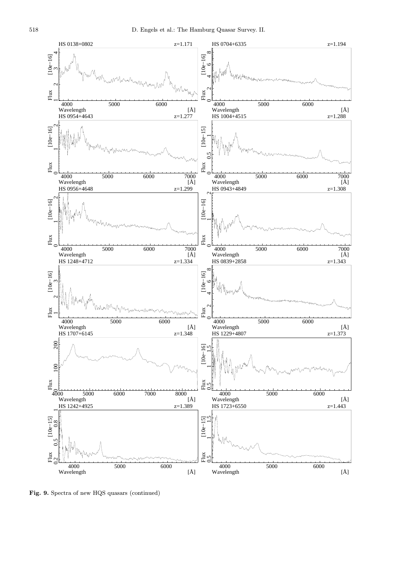

Fig. 9. Spectra of new HQS quasars (continued)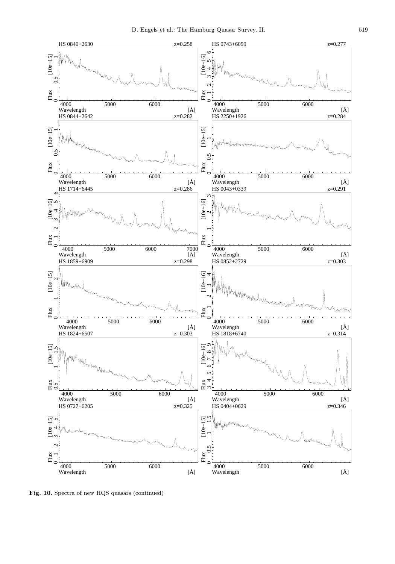

Fig. 10. Spectra of new HQS quasars (continued)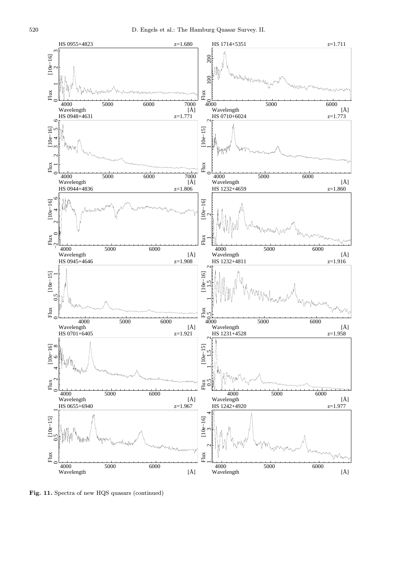

Fig. 11. Spectra of new HQS quasars (continued)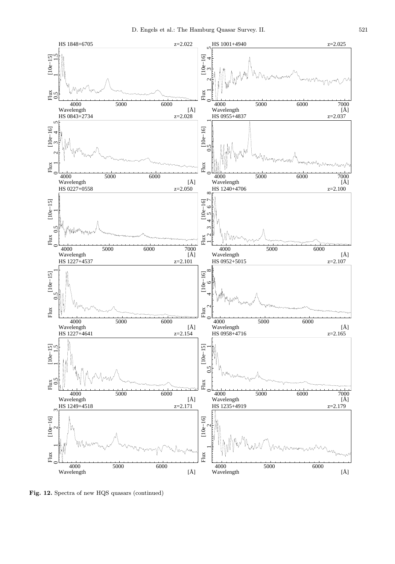

Fig. 12. Spectra of new HQS quasars (continued)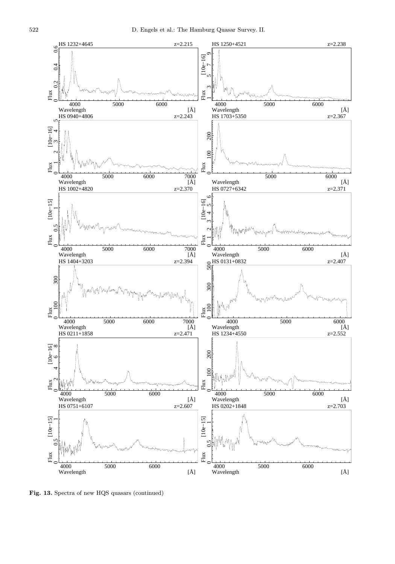

Fig. 13. Spectra of new HQS quasars (continued)